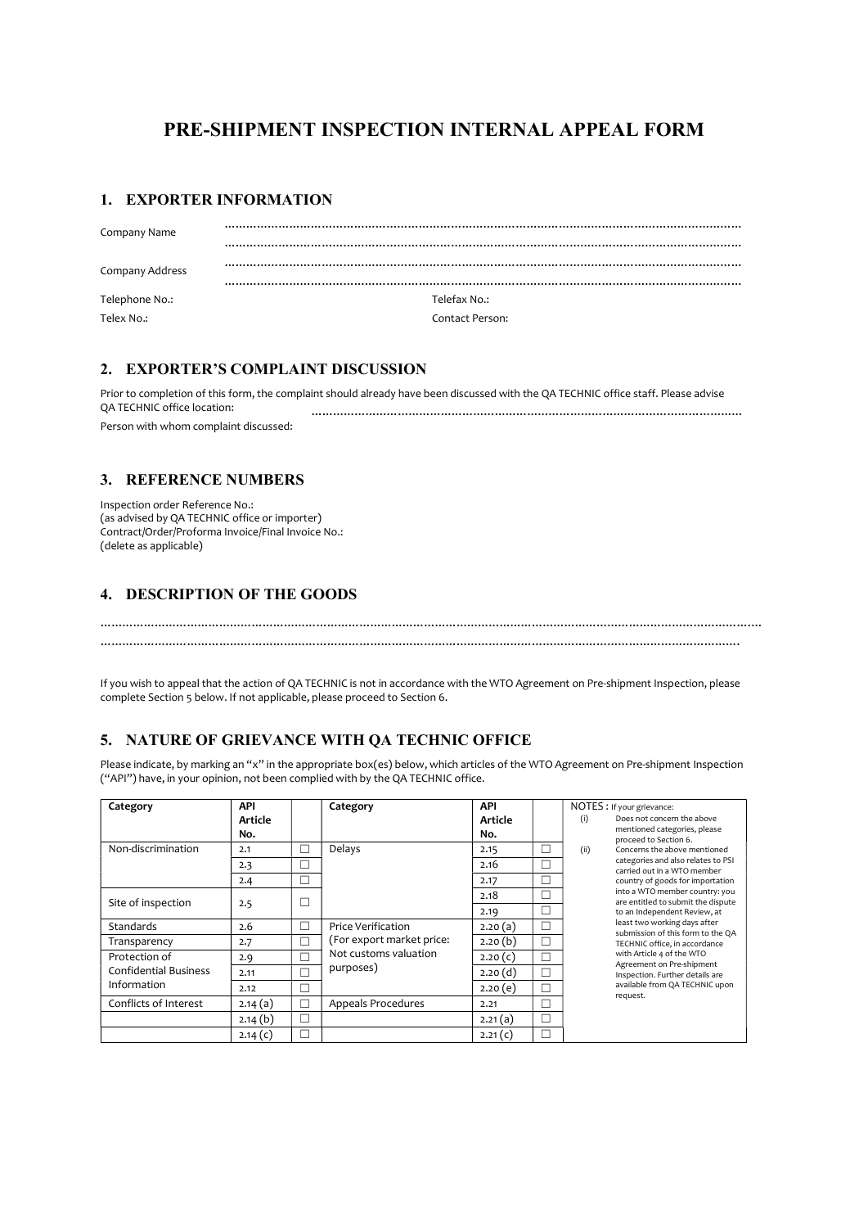# PRE-SHIPMENT INSPECTION INTERNAL APPEAL FORM

#### 1. EXPORTER INFORMATION

| Company Name    |                 |
|-----------------|-----------------|
| Company Address |                 |
| Telephone No.:  | Telefax No.:    |
| Telex No.:      | Contact Person: |

### 2. EXPORTER'S COMPLAINT DISCUSSION

Prior to completion of this form, the complaint should already have been discussed with the QA TECHNIC office staff. Please advise<br>QA TECHNIC office location:<br> QA TECHNIC office location: ………………………………………………………………………………………………………… Person with whom complaint discussed:

## 3. REFERENCE NUMBERS

Inspection order Reference No.: (as advised by QA TECHNIC office or importer) Contract/Order/Proforma Invoice/Final Invoice No.: (delete as applicable)

#### 4. DESCRIPTION OF THE GOODS

…………………………………………………………………………………………………………………………………………………………….

……………………………………………………………………………………………………………………………………………………………….…

If you wish to appeal that the action of QA TECHNIC is not in accordance with the WTO Agreement on Pre-shipment Inspection, please complete Section 5 below. If not applicable, please proceed to Section 6.

## 5. NATURE OF GRIEVANCE WITH QA TECHNIC OFFICE

Please indicate, by marking an "x" in the appropriate box(es) below, which articles of the WTO Agreement on Pre-shipment Inspection ("API") have, in your opinion, not been complied with by the QA TECHNIC office.

| Category                     | <b>API</b> |        | Category                                                                              | <b>API</b> |        | NOTES : If your grievance: |                                                                                                                                                                                                                                                                                                                                                                                           |  |
|------------------------------|------------|--------|---------------------------------------------------------------------------------------|------------|--------|----------------------------|-------------------------------------------------------------------------------------------------------------------------------------------------------------------------------------------------------------------------------------------------------------------------------------------------------------------------------------------------------------------------------------------|--|
|                              | Article    |        |                                                                                       | Article    |        | (i)                        | Does not concern the above                                                                                                                                                                                                                                                                                                                                                                |  |
|                              | No.        |        |                                                                                       | No.        |        |                            | mentioned categories, please<br>proceed to Section 6.<br>Concerns the above mentioned                                                                                                                                                                                                                                                                                                     |  |
| Non-discrimination           | 2.1        | $\Box$ | Delays                                                                                | 2.15       | г      | (ii)                       |                                                                                                                                                                                                                                                                                                                                                                                           |  |
|                              | 2.3        |        |                                                                                       | 2.16       | Г      |                            | categories and also relates to PSI<br>carried out in a WTO member                                                                                                                                                                                                                                                                                                                         |  |
|                              | 2.4        | П      |                                                                                       | 2.17       | г      |                            | country of goods for importation<br>into a WTO member country: you<br>are entitled to submit the dispute<br>to an Independent Review, at<br>least two working days after<br>submission of this form to the QA<br>TECHNIC office, in accordance<br>with Article 4 of the WTO<br>Agreement on Pre-shipment<br>Inspection. Further details are<br>available from QA TECHNIC upon<br>request. |  |
| Site of inspection           |            |        | Price Verification<br>(For export market price:<br>Not customs valuation<br>purposes) | 2.18       | Г      |                            |                                                                                                                                                                                                                                                                                                                                                                                           |  |
|                              | 2.5        |        |                                                                                       | 2.19       | П      |                            |                                                                                                                                                                                                                                                                                                                                                                                           |  |
| <b>Standards</b>             | 2.6        | $\Box$ |                                                                                       | 2.20(a)    | г      |                            |                                                                                                                                                                                                                                                                                                                                                                                           |  |
| Transparency                 | 2.7        | П      |                                                                                       | 2.20(b)    | П      |                            |                                                                                                                                                                                                                                                                                                                                                                                           |  |
| Protection of                | 2.9        |        |                                                                                       | 2.20(c)    | г      |                            |                                                                                                                                                                                                                                                                                                                                                                                           |  |
| <b>Confidential Business</b> | 2.11       |        |                                                                                       | 2.20(d)    | г      |                            |                                                                                                                                                                                                                                                                                                                                                                                           |  |
| Information                  | 2.12       | ┍      |                                                                                       | 2.20(e)    | г      |                            |                                                                                                                                                                                                                                                                                                                                                                                           |  |
| Conflicts of Interest        | 2.14(a)    |        | <b>Appeals Procedures</b>                                                             | 2.21       | Г      |                            |                                                                                                                                                                                                                                                                                                                                                                                           |  |
|                              | 2.14(b)    | п      |                                                                                       | 2.21(a)    | $\Box$ |                            |                                                                                                                                                                                                                                                                                                                                                                                           |  |
|                              | 2.14 $(c)$ |        |                                                                                       | 2.21(c)    | П      |                            |                                                                                                                                                                                                                                                                                                                                                                                           |  |